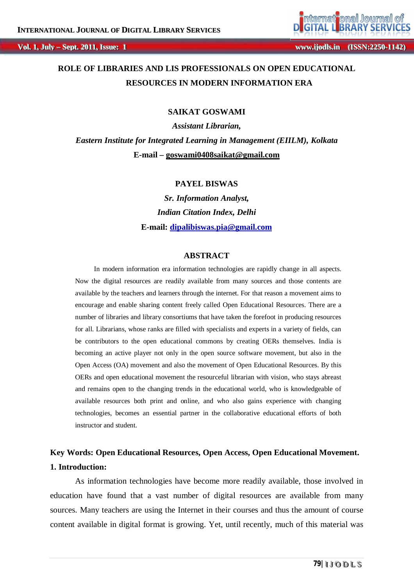

**:: 11 wwwwww. ..i ij jooddl lss. ..i inn ( (IISSSSNN: ::22225500- -11114422) )**

## **ROLE OF LIBRARIES AND LIS PROFESSIONALS ON OPEN EDUCATIONAL RESOURCES IN MODERN INFORMATION ERA**

#### **SAIKAT GOSWAMI**

*Assistant Librarian, Eastern Institute for Integrated Learning in Management (EIILM), Kolkata* **E-mail – goswami0408saikat@gmail.com**

#### **PAYEL BISWAS**

*Sr. Information Analyst, Indian Citation Index, Delhi* **E-mail: dipalibiswas.pia@gmail.com**

#### **ABSTRACT**

In modern information era information technologies are rapidly change in all aspects. Now the digital resources are readily available from many sources and those contents are available by the teachers and learners through the internet. For that reason a movement aims to encourage and enable sharing content freely called Open Educational Resources. There are a number of libraries and library consortiums that have taken the forefoot in producing resources for all. Librarians, whose ranks are filled with specialists and experts in a variety of fields, can be contributors to the open educational commons by creating OERs themselves. India is becoming an active player not only in the open source software movement, but also in the Open Access (OA) movement and also the movement of Open Educational Resources. By this OERs and open educational movement the resourceful librarian with vision, who stays abreast and remains open to the changing trends in the educational world, who is knowledgeable of available resources both print and online, and who also gains experience with changing technologies, becomes an essential partner in the collaborative educational efforts of both instructor and student.

# **Key Words: Open Educational Resources, Open Access, Open Educational Movement. 1. Introduction:**

As information technologies have become more readily available, those involved in education have found that a vast number of digital resources are available from many sources. Many teachers are using the Internet in their courses and thus the amount of course content available in digital format is growing. Yet, until recently, much of this material was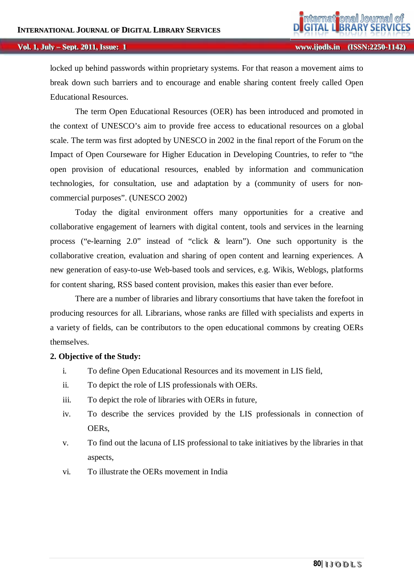locked up behind passwords within proprietary systems. For that reason a movement aims to break down such barriers and to encourage and enable sharing content freely called Open Educational Resources.

The term Open Educational Resources (OER) has been introduced and promoted in the context of UNESCO's aim to provide free access to educational resources on a global scale. The term was first adopted by UNESCO in 2002 in the final report of the Forum on the Impact of Open Courseware for Higher Education in Developing Countries, to refer to "the open provision of educational resources, enabled by information and communication technologies, for consultation, use and adaptation by a (community of users for noncommercial purposes". (UNESCO 2002)

Today the digital environment offers many opportunities for a creative and collaborative engagement of learners with digital content, tools and services in the learning process ("e-learning 2.0" instead of "click & learn"). One such opportunity is the collaborative creation, evaluation and sharing of open content and learning experiences. A new generation of easy-to-use Web-based tools and services, e.g. Wikis, Weblogs, platforms for content sharing, RSS based content provision, makes this easier than ever before.

There are a number of libraries and library consortiums that have taken the forefoot in producing resources for all. Librarians, whose ranks are filled with specialists and experts in a variety of fields, can be contributors to the open educational commons by creating OERs themselves.

#### **2. Objective of the Study:**

- i. To define Open Educational Resources and its movement in LIS field,
- ii. To depict the role of LIS professionals with OERs.
- iii. To depict the role of libraries with OERs in future,
- iv. To describe the services provided by the LIS professionals in connection of OERs,
- v. To find out the lacuna of LIS professional to take initiatives by the libraries in that aspects,
- vi. To illustrate the OERs movement in India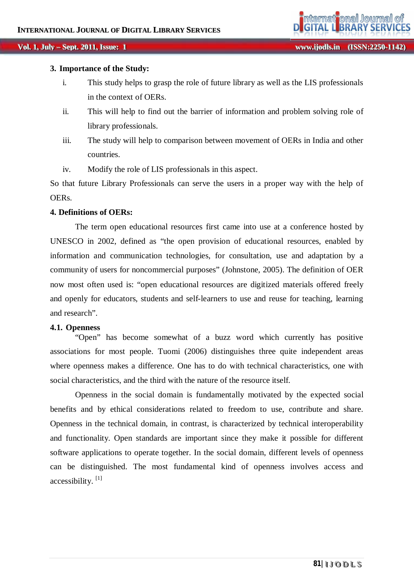#### **3. Importance of the Study:**

- i. This study helps to grasp the role of future library as well as the LIS professionals in the context of OERs.
- ii. This will help to find out the barrier of information and problem solving role of library professionals.
- iii. The study will help to comparison between movement of OERs in India and other countries.
- iv. Modify the role of LIS professionals in this aspect.

So that future Library Professionals can serve the users in a proper way with the help of OERs.

#### **4. Definitions of OERs:**

The term open educational resources first came into use at a conference hosted by UNESCO in 2002, defined as "the open provision of educational resources, enabled by information and communication technologies, for consultation, use and adaptation by a community of users for noncommercial purposes" (Johnstone, 2005). The definition of OER now most often used is: "open educational resources are digitized materials offered freely and openly for educators, students and self-learners to use and reuse for teaching, learning and research".

#### **4.1. Openness**

"Open" has become somewhat of a buzz word which currently has positive associations for most people. Tuomi (2006) distinguishes three quite independent areas where openness makes a difference. One has to do with technical characteristics, one with social characteristics, and the third with the nature of the resource itself.

Openness in the social domain is fundamentally motivated by the expected social benefits and by ethical considerations related to freedom to use, contribute and share. Openness in the technical domain, in contrast, is characterized by technical interoperability and functionality. Open standards are important since they make it possible for different software applications to operate together. In the social domain, different levels of openness can be distinguished. The most fundamental kind of openness involves access and accessibility.<sup>[1]</sup>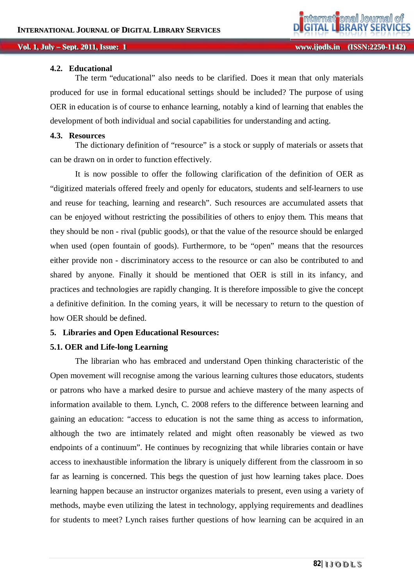#### **4.2. Educational**

The term "educational" also needs to be clarified. Does it mean that only materials produced for use in formal educational settings should be included? The purpose of using OER in education is of course to enhance learning, notably a kind of learning that enables the development of both individual and social capabilities for understanding and acting.

#### **4.3. Resources**

The dictionary definition of "resource" is a stock or supply of materials or assets that can be drawn on in order to function effectively.

It is now possible to offer the following clarification of the definition of OER as "digitized materials offered freely and openly for educators, students and self-learners to use and reuse for teaching, learning and research". Such resources are accumulated assets that can be enjoyed without restricting the possibilities of others to enjoy them. This means that they should be non - rival (public goods), or that the value of the resource should be enlarged when used (open fountain of goods). Furthermore, to be "open" means that the resources either provide non - discriminatory access to the resource or can also be contributed to and shared by anyone. Finally it should be mentioned that OER is still in its infancy, and practices and technologies are rapidly changing. It is therefore impossible to give the concept a definitive definition. In the coming years, it will be necessary to return to the question of how OER should be defined.

#### **5. Libraries and Open Educational Resources:**

#### **5.1. OER and Life-long Learning**

The librarian who has embraced and understand Open thinking characteristic of the Open movement will recognise among the various learning cultures those educators, students or patrons who have a marked desire to pursue and achieve mastery of the many aspects of information available to them. Lynch, C. 2008 refers to the difference between learning and gaining an education: "access to education is not the same thing as access to information, although the two are intimately related and might often reasonably be viewed as two endpoints of a continuum". He continues by recognizing that while libraries contain or have access to inexhaustible information the library is uniquely different from the classroom in so far as learning is concerned. This begs the question of just how learning takes place. Does learning happen because an instructor organizes materials to present, even using a variety of methods, maybe even utilizing the latest in technology, applying requirements and deadlines for students to meet? Lynch raises further questions of how learning can be acquired in an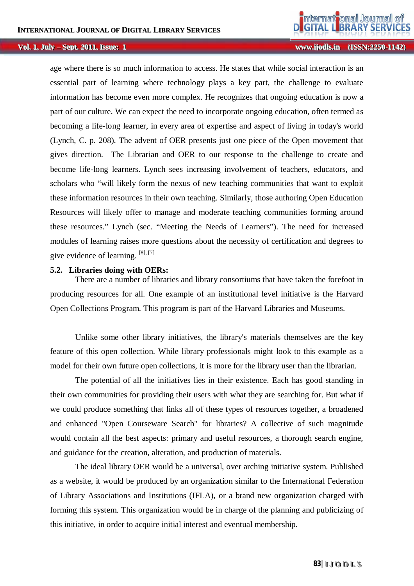**:: 11 wwwwww. ..i ij jooddl lss. ..i inn ( (IISSSSNN: ::22225500- -11114422) )**

age where there is so much information to access. He states that while social interaction is an essential part of learning where technology plays a key part, the challenge to evaluate information has become even more complex. He recognizes that ongoing education is now a part of our culture. We can expect the need to incorporate ongoing education, often termed as becoming a life-long learner, in every area of expertise and aspect of living in today's world (Lynch, C. p. 208). The advent of OER presents just one piece of the Open movement that gives direction. The Librarian and OER to our response to the challenge to create and become life-long learners. Lynch sees increasing involvement of teachers, educators, and scholars who "will likely form the nexus of new teaching communities that want to exploit these information resources in their own teaching. Similarly, those authoring Open Education Resources will likely offer to manage and moderate teaching communities forming around these resources." Lynch (sec. "Meeting the Needs of Learners"). The need for increased modules of learning raises more questions about the necessity of certification and degrees to give evidence of learning.  $[8]$ ,  $[7]$ 

#### **5.2. Libraries doing with OERs:**

There are a number of libraries and library consortiums that have taken the forefoot in producing resources for all. One example of an institutional level initiative is the Harvard Open Collections Program. This program is part of the Harvard Libraries and Museums.

Unlike some other library initiatives, the library's materials themselves are the key feature of this open collection. While library professionals might look to this example as a model for their own future open collections, it is more for the library user than the librarian.

The potential of all the initiatives lies in their existence. Each has good standing in their own communities for providing their users with what they are searching for. But what if we could produce something that links all of these types of resources together, a broadened and enhanced "Open Courseware Search" for libraries? A collective of such magnitude would contain all the best aspects: primary and useful resources, a thorough search engine, and guidance for the creation, alteration, and production of materials.

The ideal library OER would be a universal, over arching initiative system. Published as a website, it would be produced by an organization similar to the International Federation of Library Associations and Institutions (IFLA), or a brand new organization charged with forming this system. This organization would be in charge of the planning and publicizing of this initiative, in order to acquire initial interest and eventual membership.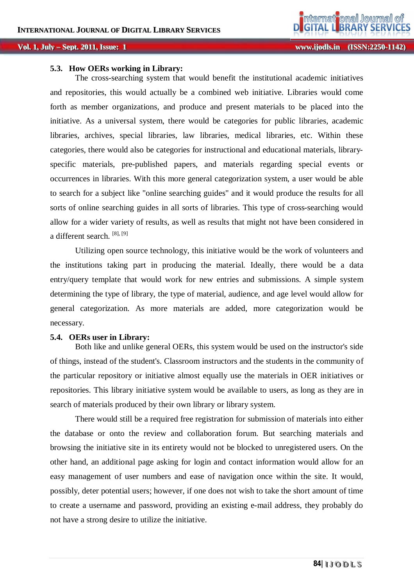### **5.3. How OERs working in Library:**

The cross-searching system that would benefit the institutional academic initiatives and repositories, this would actually be a combined web initiative. Libraries would come forth as member organizations, and produce and present materials to be placed into the initiative. As a universal system, there would be categories for public libraries, academic libraries, archives, special libraries, law libraries, medical libraries, etc. Within these categories, there would also be categories for instructional and educational materials, libraryspecific materials, pre-published papers, and materials regarding special events or occurrences in libraries. With this more general categorization system, a user would be able to search for a subject like "online searching guides" and it would produce the results for all sorts of online searching guides in all sorts of libraries. This type of cross-searching would allow for a wider variety of results, as well as results that might not have been considered in a different search. [8], [9]

Utilizing open source technology, this initiative would be the work of volunteers and the institutions taking part in producing the material. Ideally, there would be a data entry/query template that would work for new entries and submissions. A simple system determining the type of library, the type of material, audience, and age level would allow for general categorization. As more materials are added, more categorization would be necessary.

#### **5.4. OERs user in Library:**

Both like and unlike general OERs, this system would be used on the instructor's side of things, instead of the student's. Classroom instructors and the students in the community of the particular repository or initiative almost equally use the materials in OER initiatives or repositories. This library initiative system would be available to users, as long as they are in search of materials produced by their own library or library system.

There would still be a required free registration for submission of materials into either the database or onto the review and collaboration forum. But searching materials and browsing the initiative site in its entirety would not be blocked to unregistered users. On the other hand, an additional page asking for login and contact information would allow for an easy management of user numbers and ease of navigation once within the site. It would, possibly, deter potential users; however, if one does not wish to take the short amount of time to create a username and password, providing an existing e-mail address, they probably do not have a strong desire to utilize the initiative.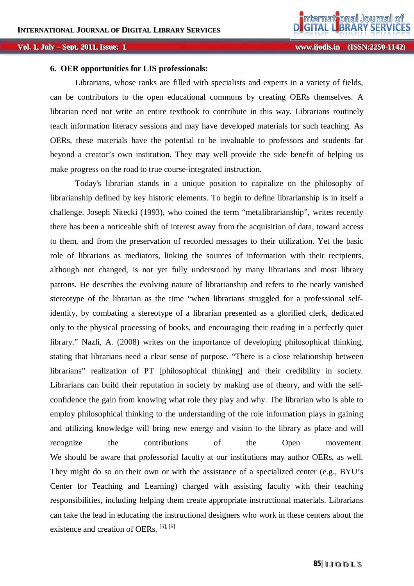#### **:: 11 wwwwww. ..i ij jooddl lss. ..i inn ( (IISSSSNN: ::22225500- -11114422) )**

#### **6. OER opportunities for LIS professionals:**

Librarians, whose ranks are filled with specialists and experts in a variety of fields, can be contributors to the open educational commons by creating OERs themselves. A librarian need not write an entire textbook to contribute in this way. Librarians routinely teach information literacy sessions and may have developed materials for such teaching. As OERs, these materials have the potential to be invaluable to professors and students far beyond a creator's own institution. They may well provide the side benefit of helping us make progress on the road to true course-integrated instruction.

Today's librarian stands in a unique position to capitalize on the philosophy of librarianship defined by key historic elements. To begin to define librarianship is in itself a challenge. Joseph Nitecki (1993), who coined the term "metalibrarianship", writes recently there has been a noticeable shift of interest away from the acquisition of data, toward access to them, and from the preservation of recorded messages to their utilization. Yet the basic role of librarians as mediators, linking the sources of information with their recipients, although not changed, is not yet fully understood by many librarians and most library patrons. He describes the evolving nature of librarianship and refers to the nearly vanished stereotype of the librarian as the time "when librarians struggled for a professional selfidentity, by combating a stereotype of a librarian presented as a glorified clerk, dedicated only to the physical processing of books, and encouraging their reading in a perfectly quiet library." Nazli, A. (2008) writes on the importance of developing philosophical thinking, stating that librarians need a clear sense of purpose. "There is a close relationship between librarians'' realization of PT [philosophical thinking] and their credibility in society. Librarians can build their reputation in society by making use of theory, and with the selfconfidence the gain from knowing what role they play and why. The librarian who is able to employ philosophical thinking to the understanding of the role information plays in gaining and utilizing knowledge will bring new energy and vision to the library as place and will recognize the contributions of the Open movement. We should be aware that professorial faculty at our institutions may author OERs, as well. They might do so on their own or with the assistance of a specialized center (e.g., BYU's Center for Teaching and Learning) charged with assisting faculty with their teaching responsibilities, including helping them create appropriate instructional materials. Librarians can take the lead in educating the instructional designers who work in these centers about the existence and creation of OERs.  $[5]$ ,  $[6]$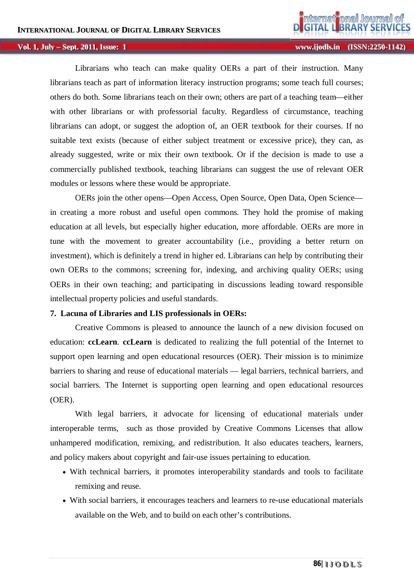**:: 11 wwwwww. ..i ij jooddl lss. ..i inn ( (IISSSSNN: ::22225500- -11114422) )**

Librarians who teach can make quality OERs a part of their instruction. Many librarians teach as part of information literacy instruction programs; some teach full courses; others do both. Some librarians teach on their own; others are part of a teaching team—either with other librarians or with professorial faculty. Regardless of circumstance, teaching librarians can adopt, or suggest the adoption of, an OER textbook for their courses. If no suitable text exists (because of either subject treatment or excessive price), they can, as already suggested, write or mix their own textbook. Or if the decision is made to use a commercially published textbook, teaching librarians can suggest the use of relevant OER modules or lessons where these would be appropriate.

OERs join the other opens—Open Access, Open Source, Open Data, Open Science in creating a more robust and useful open commons. They hold the promise of making education at all levels, but especially higher education, more affordable. OERs are more in tune with the movement to greater accountability (i.e., providing a better return on investment), which is definitely a trend in higher ed. Librarians can help by contributing their own OERs to the commons; screening for, indexing, and archiving quality OERs; using OERs in their own teaching; and participating in discussions leading toward responsible intellectual property policies and useful standards.

## **7. Lacuna of Libraries and LIS professionals in OERs:**

Creative Commons is pleased to announce the launch of a new division focused on education: **ccLearn**. **ccLearn** is dedicated to realizing the full potential of the Internet to support open learning and open educational resources (OER). Their mission is to minimize barriers to sharing and reuse of educational materials — legal barriers, technical barriers, and social barriers. The Internet is supporting open learning and open educational resources (OER).

With legal barriers*,* it advocate for licensing of educational materials under interoperable terms, such as those provided by Creative Commons Licenses that allow unhampered modification, remixing, and redistribution. It also educates teachers, learners, and policy makers about copyright and fair-use issues pertaining to education.

- With technical barriers*,* it promotes interoperability standards and tools to facilitate remixing and reuse.
- With social barriers*,* it encourages teachers and learners to re-use educational materials available on the Web, and to build on each other's contributions.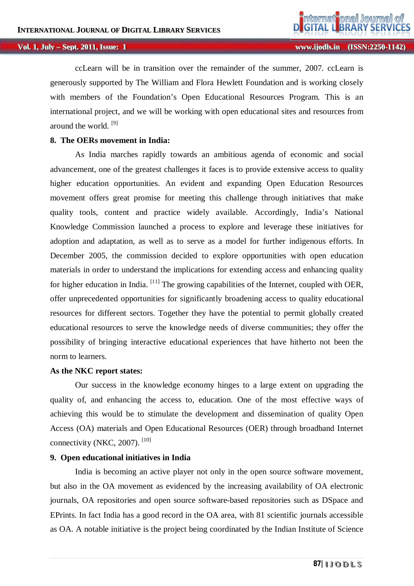ccLearn will be in transition over the remainder of the summer, 2007. ccLearn is generously supported by The William and Flora Hewlett Foundation and is working closely with members of the Foundation's Open Educational Resources Program. This is an international project, and we will be working with open educational sites and resources from around the world. [9]

### **8. The OERs movement in India:**

As India marches rapidly towards an ambitious agenda of economic and social advancement, one of the greatest challenges it faces is to provide extensive access to quality higher education opportunities. An evident and expanding Open Education Resources movement offers great promise for meeting this challenge through initiatives that make quality tools, content and practice widely available. Accordingly, India's National Knowledge Commission launched a process to explore and leverage these initiatives for adoption and adaptation, as well as to serve as a model for further indigenous efforts. In December 2005, the commission decided to explore opportunities with open education materials in order to understand the implications for extending access and enhancing quality for higher education in India. <sup>[11]</sup> The growing capabilities of the Internet, coupled with OER, offer unprecedented opportunities for significantly broadening access to quality educational resources for different sectors. Together they have the potential to permit globally created educational resources to serve the knowledge needs of diverse communities; they offer the possibility of bringing interactive educational experiences that have hitherto not been the norm to learners.

#### **As the NKC report states:**

Our success in the knowledge economy hinges to a large extent on upgrading the quality of, and enhancing the access to, education. One of the most effective ways of achieving this would be to stimulate the development and dissemination of quality Open Access (OA) materials and Open Educational Resources (OER) through broadband Internet connectivity (NKC, 2007).  $[10]$ 

#### **9. Open educational initiatives in India**

India is becoming an active player not only in the open source software movement, but also in the OA movement as evidenced by the increasing availability of OA electronic journals, OA repositories and open source software-based repositories such as DSpace and EPrints. In fact India has a good record in the OA area, with 81 scientific journals accessible as OA. A notable initiative is the project being coordinated by the Indian Institute of Science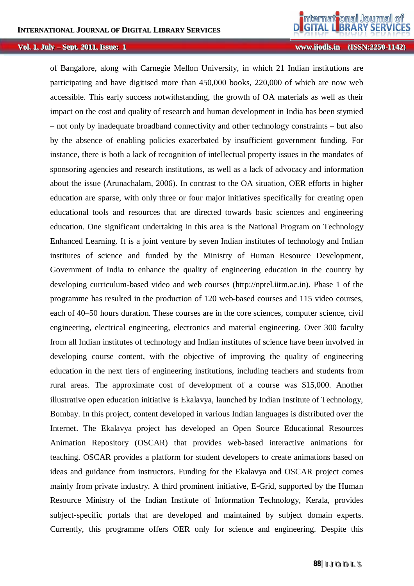**:: 11 wwwwww. ..i ij jooddl lss. ..i inn ( (IISSSSNN: ::22225500- -11114422) )**

of Bangalore, along with Carnegie Mellon University, in which 21 Indian institutions are participating and have digitised more than 450,000 books, 220,000 of which are now web accessible. This early success notwithstanding, the growth of OA materials as well as their impact on the cost and quality of research and human development in India has been stymied – not only by inadequate broadband connectivity and other technology constraints – but also by the absence of enabling policies exacerbated by insufficient government funding. For instance, there is both a lack of recognition of intellectual property issues in the mandates of sponsoring agencies and research institutions, as well as a lack of advocacy and information about the issue (Arunachalam, 2006). In contrast to the OA situation, OER efforts in higher education are sparse, with only three or four major initiatives specifically for creating open educational tools and resources that are directed towards basic sciences and engineering education. One significant undertaking in this area is the National Program on Technology Enhanced Learning. It is a joint venture by seven Indian institutes of technology and Indian institutes of science and funded by the Ministry of Human Resource Development, Government of India to enhance the quality of engineering education in the country by developing curriculum-based video and web courses (http://nptel.iitm.ac.in). Phase 1 of the programme has resulted in the production of 120 web-based courses and 115 video courses, each of 40–50 hours duration. These courses are in the core sciences, computer science, civil engineering, electrical engineering, electronics and material engineering. Over 300 faculty from all Indian institutes of technology and Indian institutes of science have been involved in developing course content, with the objective of improving the quality of engineering education in the next tiers of engineering institutions, including teachers and students from rural areas. The approximate cost of development of a course was \$15,000. Another illustrative open education initiative is Ekalavya, launched by Indian Institute of Technology, Bombay. In this project, content developed in various Indian languages is distributed over the Internet. The Ekalavya project has developed an Open Source Educational Resources Animation Repository (OSCAR) that provides web-based interactive animations for teaching. OSCAR provides a platform for student developers to create animations based on ideas and guidance from instructors. Funding for the Ekalavya and OSCAR project comes mainly from private industry. A third prominent initiative, E-Grid, supported by the Human Resource Ministry of the Indian Institute of Information Technology, Kerala, provides subject-specific portals that are developed and maintained by subject domain experts. Currently, this programme offers OER only for science and engineering. Despite this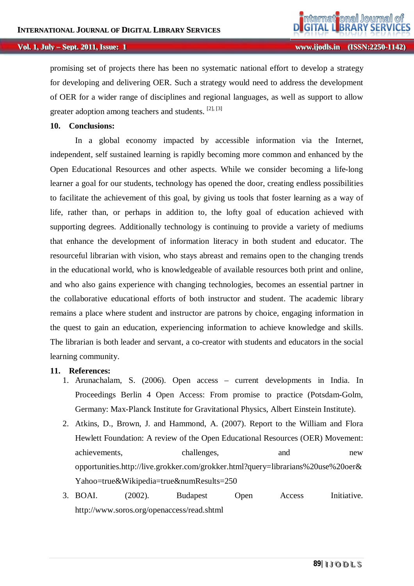promising set of projects there has been no systematic national effort to develop a strategy for developing and delivering OER. Such a strategy would need to address the development of OER for a wider range of disciplines and regional languages, as well as support to allow greater adoption among teachers and students. <sup>[2], [3]</sup>

#### **10. Conclusions:**

In a global economy impacted by accessible information via the Internet, independent, self sustained learning is rapidly becoming more common and enhanced by the Open Educational Resources and other aspects. While we consider becoming a life-long learner a goal for our students, technology has opened the door, creating endless possibilities to facilitate the achievement of this goal, by giving us tools that foster learning as a way of life, rather than, or perhaps in addition to, the lofty goal of education achieved with supporting degrees. Additionally technology is continuing to provide a variety of mediums that enhance the development of information literacy in both student and educator. The resourceful librarian with vision, who stays abreast and remains open to the changing trends in the educational world, who is knowledgeable of available resources both print and online, and who also gains experience with changing technologies, becomes an essential partner in the collaborative educational efforts of both instructor and student. The academic library remains a place where student and instructor are patrons by choice, engaging information in the quest to gain an education, experiencing information to achieve knowledge and skills. The librarian is both leader and servant, a co-creator with students and educators in the social learning community.

#### **11. References:**

- 1. Arunachalam, S. (2006). Open access current developments in India. In Proceedings Berlin 4 Open Access: From promise to practice (Potsdam-Golm, Germany: Max-Planck Institute for Gravitational Physics, Albert Einstein Institute).
- 2. Atkins, D., Brown, J. and Hammond, A. (2007). Report to the William and Flora Hewlett Foundation: A review of the Open Educational Resources (OER) Movement: achievements, challenges, and new opportunities.http://live.grokker.com/grokker.html?query=librarians%20use%20oer& Yahoo=true&Wikipedia=true&numResults=250
- 3. BOAI. (2002). Budapest Open Access Initiative. http://www.soros.org/openaccess/read.shtml